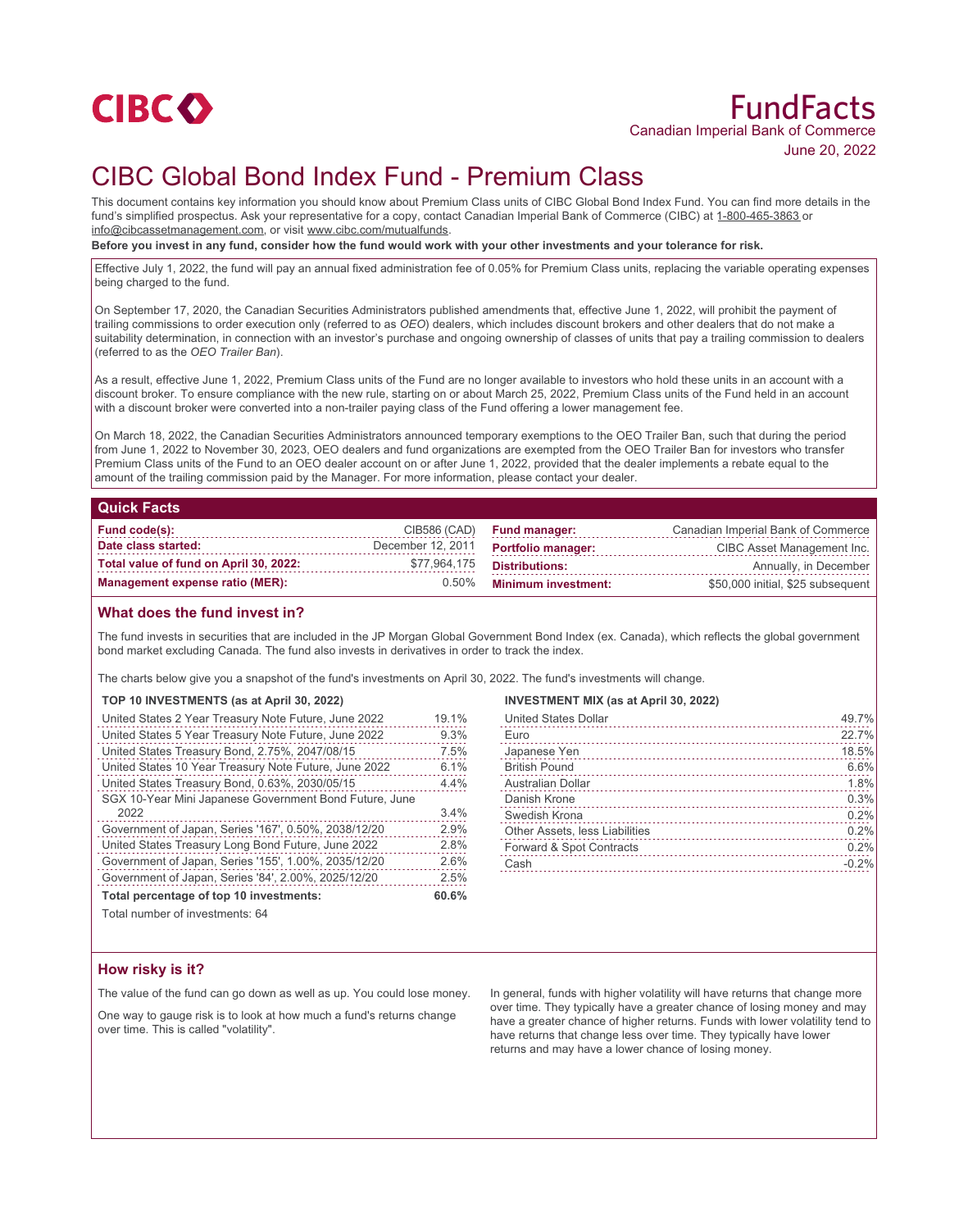

# FundFacts Canadian Imperial Bank of Commerce June 20, 2022

# CIBC Global Bond Index Fund - Premium Class

This document contains key information you should know about Premium Class units of CIBC Global Bond Index Fund. You can find more details in the fund's simplified prospectus. Ask your representative for a copy, contact Canadian Imperial Bank of Commerce (CIBC) at 1-800-465-3863 or info@cibcassetmanagement.com, or visit www.cibc.com/mutualfunds.

**Before you invest in any fund, consider how the fund would work with your other investments and your tolerance for risk.**

Effective July 1, 2022, the fund will pay an annual fixed administration fee of 0.05% for Premium Class units, replacing the variable operating expenses being charged to the fund.

On September 17, 2020, the Canadian Securities Administrators published amendments that, effective June 1, 2022, will prohibit the payment of trailing commissions to order execution only (referred to as *OEO*) dealers, which includes discount brokers and other dealers that do not make a suitability determination, in connection with an investor's purchase and ongoing ownership of classes of units that pay a trailing commission to dealers (referred to as the *OEO Trailer Ban*).

As a result, effective June 1, 2022, Premium Class units of the Fund are no longer available to investors who hold these units in an account with a discount broker. To ensure compliance with the new rule, starting on or about March 25, 2022, Premium Class units of the Fund held in an account with a discount broker were converted into a non-trailer paying class of the Fund offering a lower management fee.

On March 18, 2022, the Canadian Securities Administrators announced temporary exemptions to the OEO Trailer Ban, such that during the period from June 1, 2022 to November 30, 2023, OEO dealers and fund organizations are exempted from the OEO Trailer Ban for investors who transfer Premium Class units of the Fund to an OEO dealer account on or after June 1, 2022, provided that the dealer implements a rebate equal to the amount of the trailing commission paid by the Manager. For more information, please contact your dealer.

### **Quick Facts**

| Fund code(s):                          |                   | CIB586 (CAD) Fund manager: | Canadian Imperial Bank of Commerce |
|----------------------------------------|-------------------|----------------------------|------------------------------------|
| Date class started:                    | December 12, 2011 | <b>Portfolio manager:</b>  | CIBC Asset Management Inc.         |
| Total value of fund on April 30, 2022: | \$77,964,175      | Distributions:             | Annually, in December              |
| Management expense ratio (MER):        | $0.50\%$          | <b>Minimum investment:</b> | \$50,000 initial, \$25 subsequent  |

## **What does the fund invest in?**

The fund invests in securities that are included in the JP Morgan Global Government Bond Index (ex. Canada), which reflects the global government bond market excluding Canada. The fund also invests in derivatives in order to track the index.

The charts below give you a snapshot of the fund's investments on April 30, 2022. The fund's investments will change.

### **TOP 10 INVESTMENTS (as at April 30, 2022)**

| United States 2 Year Treasury Note Future, June 2022   | 19.1% |
|--------------------------------------------------------|-------|
| United States 5 Year Treasury Note Future, June 2022   | 9.3%  |
| United States Treasury Bond, 2.75%, 2047/08/15         | 7.5%  |
| United States 10 Year Treasury Note Future, June 2022  | 6.1%  |
| United States Treasury Bond, 0.63%, 2030/05/15         | 4.4%  |
| SGX 10-Year Mini Japanese Government Bond Future, June |       |
| 2022                                                   | 3.4%  |
| Government of Japan, Series '167', 0.50%, 2038/12/20   | 2.9%  |
| United States Treasury Long Bond Future, June 2022     | 2.8%  |
| Government of Japan, Series '155', 1.00%, 2035/12/20   | 2.6%  |
| Government of Japan, Series '84', 2.00%, 2025/12/20    | 2.5%  |
| Total percentage of top 10 investments:                |       |

**INVESTMENT MIX (as at April 30, 2022)**

| United States Dollar           | 49.7%   |
|--------------------------------|---------|
| Euro                           | 22.7%   |
| Japanese Yen                   | 18.5%   |
| <b>British Pound</b>           | 6.6%    |
| Australian Dollar              | 1.8%    |
| Danish Krone                   | 0.3%    |
| Swedish Krona                  | 0.2%    |
| Other Assets, less Liabilities | 0.2%    |
| Forward & Spot Contracts       | 0.2%    |
| Cash                           | $-0.2%$ |
|                                |         |

Total number of investments: 64

## **How risky is it?**

The value of the fund can go down as well as up. You could lose money.

One way to gauge risk is to look at how much a fund's returns change over time. This is called "volatility".

In general, funds with higher volatility will have returns that change more over time. They typically have a greater chance of losing money and may have a greater chance of higher returns. Funds with lower volatility tend to have returns that change less over time. They typically have lower returns and may have a lower chance of losing money.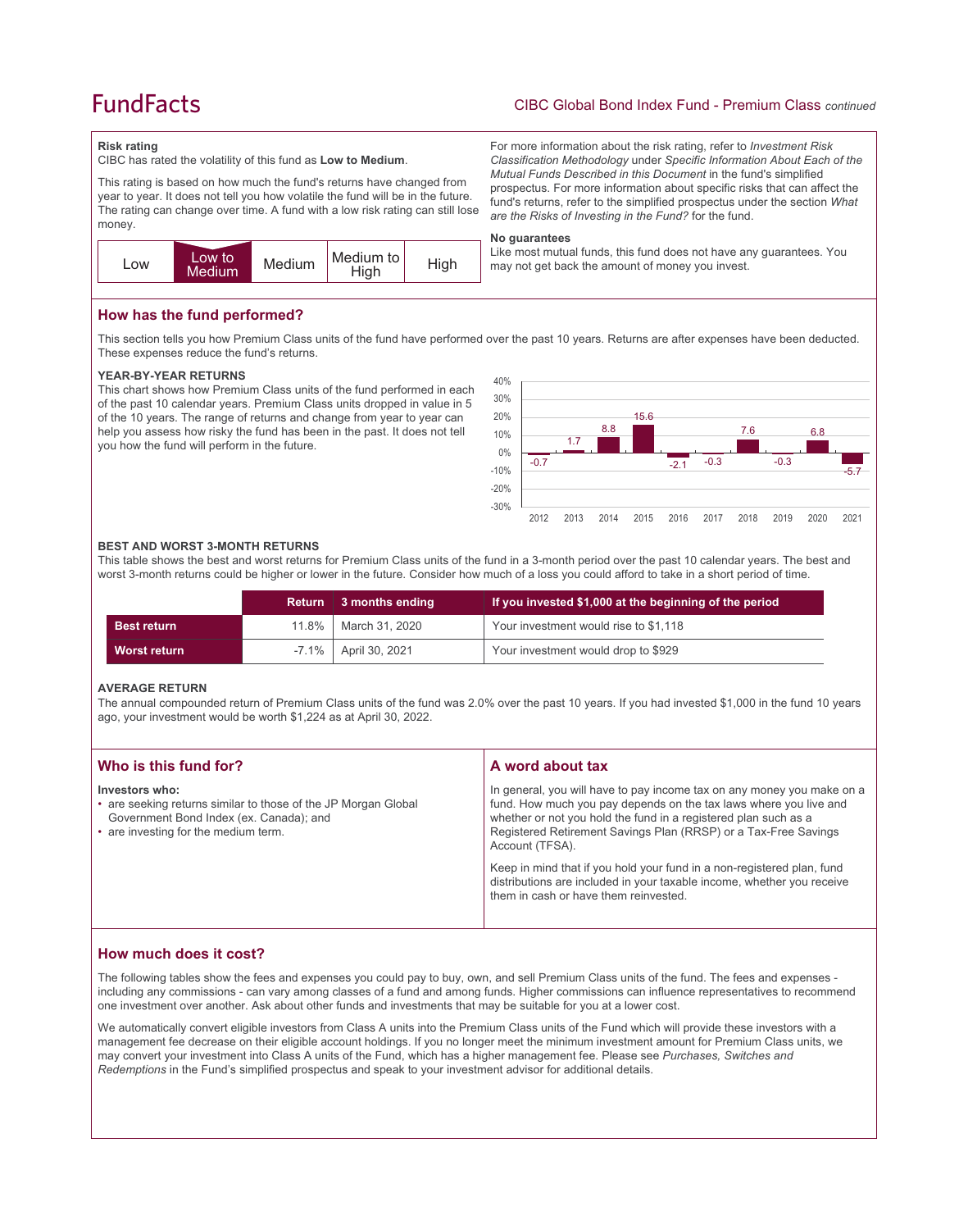# **FundFacts**

## CIBC Global Bond Index Fund - Premium Class *continued*

For more information about the risk rating, refer to *Investment Risk Classification Methodology* under *Specific Information About Each of the Mutual Funds Described in this Document* in the fund's simplified prospectus. For more information about specific risks that can affect the fund's returns, refer to the simplified prospectus under the section *What* 

Like most mutual funds, this fund does not have any guarantees. You

*are the Risks of Investing in the Fund?* for the fund.

may not get back the amount of money you invest.

#### **Risk rating**

CIBC has rated the volatility of this fund as **Low to Medium**.

This rating is based on how much the fund's returns have changed from year to year. It does not tell you how volatile the fund will be in the future. The rating can change over time. A fund with a low risk rating can still lose money.



## **How has the fund performed?**

This section tells you how Premium Class units of the fund have performed over the past 10 years. Returns are after expenses have been deducted. These expenses reduce the fund's returns.

**No guarantees**

#### **YEAR-BY-YEAR RETURNS**

This chart shows how Premium Class units of the fund performed in each of the past 10 calendar years. Premium Class units dropped in value in 5 of the 10 years. The range of returns and change from year to year can help you assess how risky the fund has been in the past. It does not tell you how the fund will perform in the future.



#### **BEST AND WORST 3-MONTH RETURNS**

This table shows the best and worst returns for Premium Class units of the fund in a 3-month period over the past 10 calendar years. The best and worst 3-month returns could be higher or lower in the future. Consider how much of a loss you could afford to take in a short period of time.

|                    | Return | 3 months ending           | If you invested \$1,000 at the beginning of the period |
|--------------------|--------|---------------------------|--------------------------------------------------------|
| <b>Best return</b> | 11.8%  | March 31, 2020            | Your investment would rise to \$1,118                  |
| Worst return       |        | $-7.1\%$   April 30, 2021 | Your investment would drop to \$929                    |

### **AVERAGE RETURN**

The annual compounded return of Premium Class units of the fund was 2.0% over the past 10 years. If you had invested \$1,000 in the fund 10 years ago, your investment would be worth \$1,224 as at April 30, 2022.

| Who is this fund for?                                                                                                                                               | A word about tax                                                                                                                                                                                                                                                                                                                                                                                                                                         |
|---------------------------------------------------------------------------------------------------------------------------------------------------------------------|----------------------------------------------------------------------------------------------------------------------------------------------------------------------------------------------------------------------------------------------------------------------------------------------------------------------------------------------------------------------------------------------------------------------------------------------------------|
| Investors who:<br>• are seeking returns similar to those of the JP Morgan Global<br>Government Bond Index (ex. Canada); and<br>• are investing for the medium term. | In general, you will have to pay income tax on any money you make on a<br>fund. How much you pay depends on the tax laws where you live and<br>whether or not you hold the fund in a registered plan such as a<br>Registered Retirement Savings Plan (RRSP) or a Tax-Free Savings<br>Account (TFSA).<br>Keep in mind that if you hold your fund in a non-registered plan, fund<br>distributions are included in your taxable income, whether you receive |
|                                                                                                                                                                     | them in cash or have them reinvested.                                                                                                                                                                                                                                                                                                                                                                                                                    |

# **How much does it cost?**

The following tables show the fees and expenses you could pay to buy, own, and sell Premium Class units of the fund. The fees and expenses including any commissions - can vary among classes of a fund and among funds. Higher commissions can influence representatives to recommend one investment over another. Ask about other funds and investments that may be suitable for you at a lower cost.

We automatically convert eligible investors from Class A units into the Premium Class units of the Fund which will provide these investors with a management fee decrease on their eligible account holdings. If you no longer meet the minimum investment amount for Premium Class units, we may convert your investment into Class A units of the Fund, which has a higher management fee. Please see *Purchases, Switches and Redemptions* in the Fund's simplified prospectus and speak to your investment advisor for additional details.